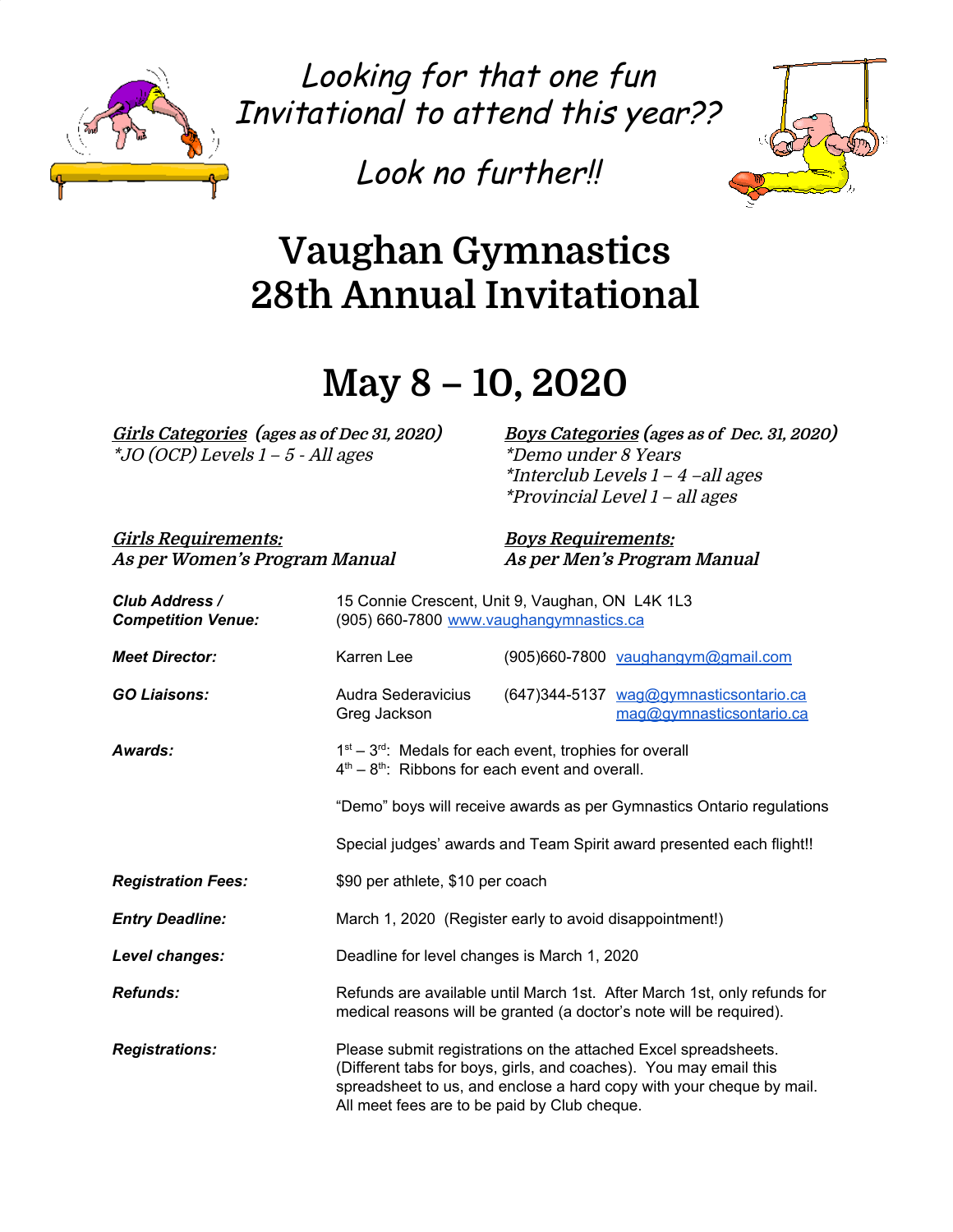

Looking for that one fun Invitational to attend this year??

Look no further!!



# **Vaughan Gymnastics 28th Annual Invitational**

## **May 8 – 10, 2020**

\*JO (OCP) Levels <sup>1</sup> – 5 - All ages \*Demo under 8 Years

Girls Categories (ages as of Dec 31, 2020) Boys Categories (ages as of Dec. 31, 2020) \*Interclub Levels 1 – 4 –all ages \*Provincial Level 1 – all ages

**Girls Requirements: Boys Requirements: As per Women's Program Manual As per Men's Program Manual**

| Club Address /<br><b>Competition Venue:</b> | 15 Connie Crescent, Unit 9, Vaughan, ON L4K 1L3<br>(905) 660-7800 www.vaughangymnastics.ca                     |                                                         |                                                                                                                                                                                                              |
|---------------------------------------------|----------------------------------------------------------------------------------------------------------------|---------------------------------------------------------|--------------------------------------------------------------------------------------------------------------------------------------------------------------------------------------------------------------|
| <b>Meet Director:</b>                       | Karren Lee                                                                                                     |                                                         | (905)660-7800 vaughangym@gmail.com                                                                                                                                                                           |
| <b>GO Liaisons:</b>                         | Audra Sederavicius<br>Greg Jackson                                                                             |                                                         | (647)344-5137 wag@gymnasticsontario.ca<br>mag@gymnasticsontario.ca                                                                                                                                           |
| Awards:                                     | $1st - 3rd$ . Medals for each event, trophies for overall<br>$4th - 8th$ : Ribbons for each event and overall. |                                                         |                                                                                                                                                                                                              |
|                                             |                                                                                                                |                                                         | "Demo" boys will receive awards as per Gymnastics Ontario regulations                                                                                                                                        |
|                                             |                                                                                                                |                                                         | Special judges' awards and Team Spirit award presented each flight!!                                                                                                                                         |
| <b>Registration Fees:</b>                   | \$90 per athlete, \$10 per coach                                                                               |                                                         |                                                                                                                                                                                                              |
| <b>Entry Deadline:</b>                      |                                                                                                                | March 1, 2020 (Register early to avoid disappointment!) |                                                                                                                                                                                                              |
| Level changes:                              |                                                                                                                | Deadline for level changes is March 1, 2020             |                                                                                                                                                                                                              |
| <b>Refunds:</b>                             |                                                                                                                |                                                         | Refunds are available until March 1st. After March 1st, only refunds for<br>medical reasons will be granted (a doctor's note will be required).                                                              |
| <b>Registrations:</b>                       | All meet fees are to be paid by Club cheque.                                                                   |                                                         | Please submit registrations on the attached Excel spreadsheets.<br>(Different tabs for boys, girls, and coaches). You may email this<br>spreadsheet to us, and enclose a hard copy with your cheque by mail. |